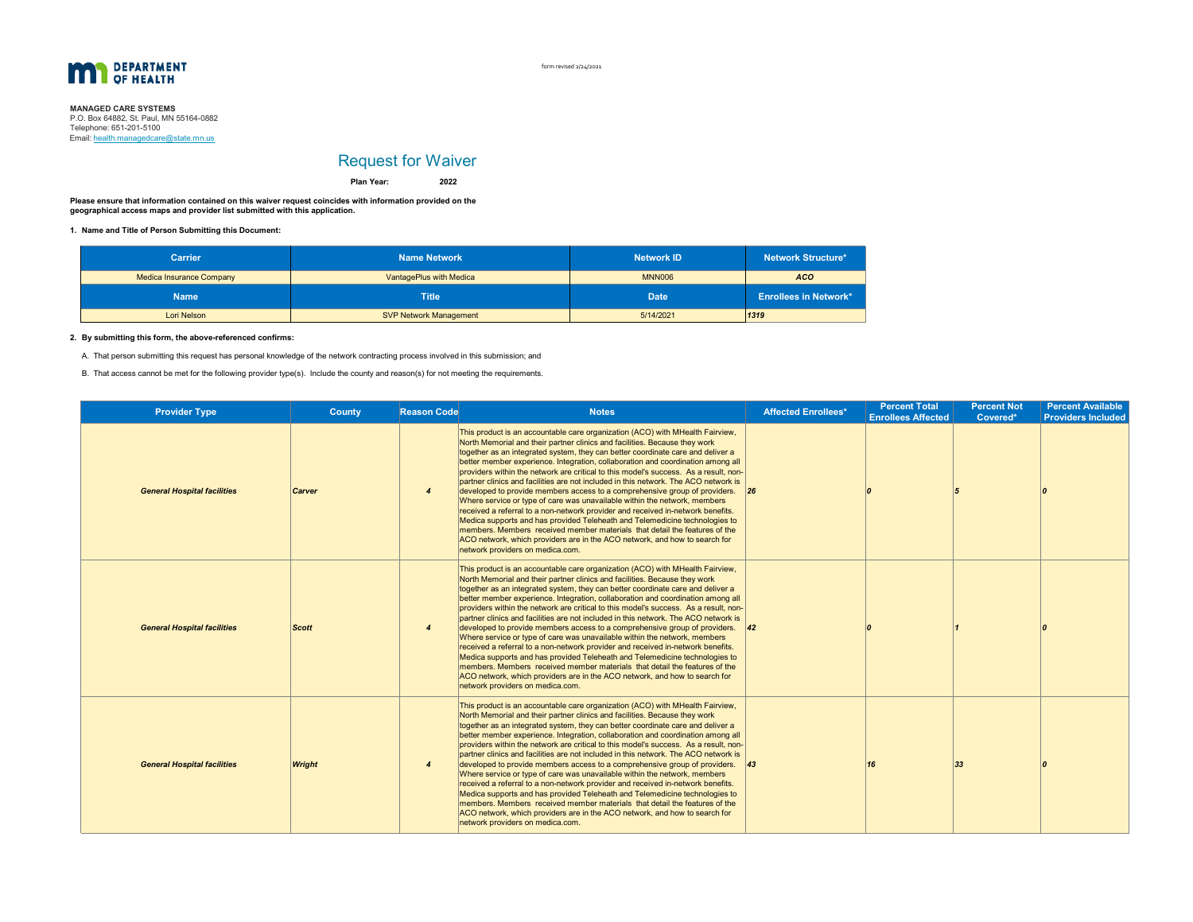

form revised 2/24/2021

## **MANAGED CARE SYSTEMS**<br>P.O. Box 64882, St. Paul, MN 55164-0882 Email: <u>health.managedcare@state.mn.us</u> Telephone: 651-201-5100

# Request for Waiver

**Plan Year:**

**Please ensure that information contained on this waiver request coincides with information provided on the geographical access maps and provider list submitted with this application.**

**1. Name and Title of Person Submitting this Document:**

| <b>Carrier</b>           | <b>Name Network</b>           | <b>Network ID</b> | <b>Network Structure*</b>    |  |
|--------------------------|-------------------------------|-------------------|------------------------------|--|
| Medica Insurance Company | VantagePlus with Medica       | <b>MNN006</b>     | <b>ACO</b>                   |  |
| <b>Name</b>              | <b>Title</b>                  | <b>Date</b>       | <b>Enrollees in Network*</b> |  |
| Lori Nelson              | <b>SVP Network Management</b> | 5/14/2021         | 1319                         |  |

**2022**

## **2. By submitting this form, the above-referenced confirms:**

A. That person submitting this request has personal knowledge of the network contracting process involved in this submission; and

B. That access cannot be met for the following provider type(s). Include the county and reason(s) for not meeting the requirements.

| <b>Provider Type</b>               | County       | <b>Reason Code</b> | <b>Notes</b>                                                                                                                                                                                                                                                                                                                                                                                                                                                                                                                                                                                                                                                                                                                                                                                                                                                                                                                                                                                                                                                     | <b>Affected Enrollees*</b> | <b>Percent Total</b><br><b>Enrollees Affected</b> | <b>Percent Not</b><br>Covered* | <b>Percent Available</b><br><b>Providers Included</b> |
|------------------------------------|--------------|--------------------|------------------------------------------------------------------------------------------------------------------------------------------------------------------------------------------------------------------------------------------------------------------------------------------------------------------------------------------------------------------------------------------------------------------------------------------------------------------------------------------------------------------------------------------------------------------------------------------------------------------------------------------------------------------------------------------------------------------------------------------------------------------------------------------------------------------------------------------------------------------------------------------------------------------------------------------------------------------------------------------------------------------------------------------------------------------|----------------------------|---------------------------------------------------|--------------------------------|-------------------------------------------------------|
| <b>General Hospital facilities</b> | Carver       | $\boldsymbol{4}$   | This product is an accountable care organization (ACO) with MHealth Fairview,<br>North Memorial and their partner clinics and facilities. Because they work<br>together as an integrated system, they can better coordinate care and deliver a<br>better member experience. Integration, collaboration and coordination among all<br>providers within the network are critical to this model's success. As a result, non-<br>partner clinics and facilities are not included in this network. The ACO network is<br>developed to provide members access to a comprehensive group of providers. $ 26 $<br>Where service or type of care was unavailable within the network, members<br>received a referral to a non-network provider and received in-network benefits.<br>Medica supports and has provided Teleheath and Telemedicine technologies to<br>members. Members received member materials that detail the features of the<br>ACO network, which providers are in the ACO network, and how to search for<br>network providers on medica.com.             |                            |                                                   |                                |                                                       |
| <b>General Hospital facilities</b> | <b>Scott</b> | $\boldsymbol{4}$   | This product is an accountable care organization (ACO) with MHealth Fairview,<br>North Memorial and their partner clinics and facilities. Because they work<br>together as an integrated system, they can better coordinate care and deliver a<br>better member experience. Integration, collaboration and coordination among all<br>providers within the network are critical to this model's success. As a result, non-<br>partner clinics and facilities are not included in this network. The ACO network is<br>developed to provide members access to a comprehensive group of providers. $\vert 42 \rangle$<br>Where service or type of care was unavailable within the network, members<br>received a referral to a non-network provider and received in-network benefits.<br>Medica supports and has provided Teleheath and Telemedicine technologies to<br>members. Members received member materials that detail the features of the<br>ACO network, which providers are in the ACO network, and how to search for<br>network providers on medica.com. |                            |                                                   |                                |                                                       |
| <b>General Hospital facilities</b> | Wright       | $\boldsymbol{4}$   | This product is an accountable care organization (ACO) with MHealth Fairview,<br>North Memorial and their partner clinics and facilities. Because they work<br>together as an integrated system, they can better coordinate care and deliver a<br>better member experience. Integration, collaboration and coordination among all<br>providers within the network are critical to this model's success. As a result, non-<br>partner clinics and facilities are not included in this network. The ACO network is<br>developed to provide members access to a comprehensive group of providers. $\vert 43 \rangle$<br>Where service or type of care was unavailable within the network, members<br>received a referral to a non-network provider and received in-network benefits.<br>Medica supports and has provided Teleheath and Telemedicine technologies to<br>members. Members received member materials that detail the features of the<br>ACO network, which providers are in the ACO network, and how to search for<br>network providers on medica.com. |                            | 16                                                |                                |                                                       |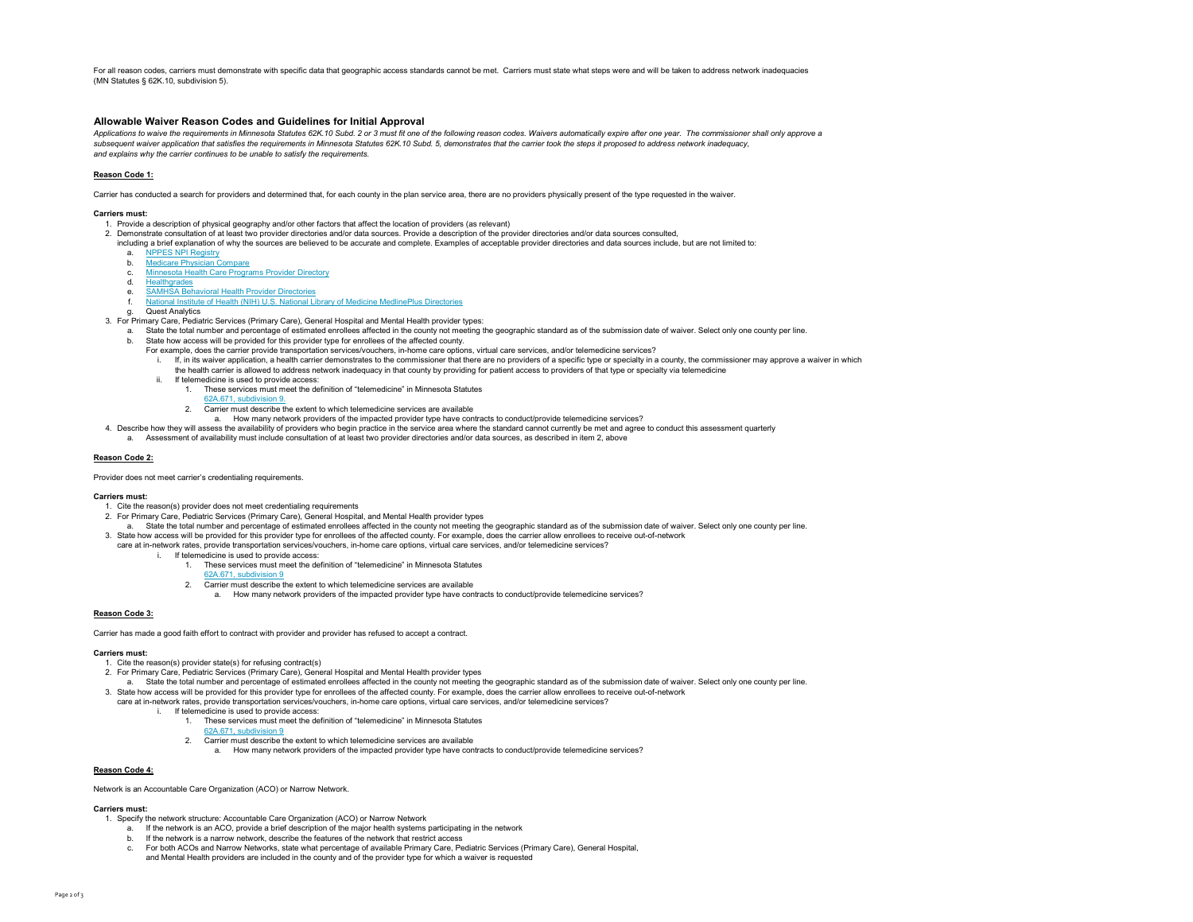For all reason codes, carriers must demonstrate with specific data that geographic access standards cannot be met. Carriers must state what steps were and will be taken to address network inadequacies (MN Statutes § 62K.10, subdivision 5).

## **Allowable Waiver Reason Codes and Guidelines for Initial Approval**

*Applications to waive the requirements in Minnesota Statutes 62K.10 Subd. 2 or 3 must fit one of the following reason codes. Waivers automatically expire after one year. The commissioner shall only approve a* subsequent waiver application that satisfies the requirements in Minnesota Statutes 62K.10 Subd. 5, demonstrates that the carrier took the steps it proposed to address network inadequacy, *and explains why the carrier continues to be unable to satisfy the requirements.*

## **Reason Code 1:**

Carrier has conducted a search for providers and determined that, for each county in the plan service area, there are no providers physically present of the type requested in the waiver.

#### **Carriers must:**

- 1. Provide a description of physical geography and/or other factors that affect the location of providers (as relevant)
- 2. Demonstrate consultation of at least two provider directories and/or data sources. Provide a description of the provider directories and/or data sources consulted,
- including a brief explanation of why the sources are believed to be accurate and complete. Examples of acceptable provider directories and data sources include, but are not limited to: a. NPPES NPI Registry
- b. Medicare Physician Compare
- c. Minnesota Health Care Programs Provider Directory
- d. Healthgrades
- e.
- SAMHSA Behavioral Health Provider Directories National Institute of Health (NIH) U.S. National Library of Medicine MedlinePlus Directories f.
- g. Quest Analytics
- 3. For Primary Care, Pediatric Services (Primary Care), General Hospital and Mental Health provider types:
	- a. State the total number and percentage of estimated enrollees affected in the county not meeting the geographic standard as of the submission date of waiver. Select only one county per line.
	- b. State how access will be provided for this provider type for enrollees of the affected county.
		- For example, does the carrier provide transportation services/vouchers, in-home care options, virtual care services, and/or telemedicine services?
			- If, in its waiver application, a health carrier demonstrates to the commissioner that there are no providers of a specific type or specialty in a county, the commissioner may approve a waiver in which the health carrier is allowed to address network inadequacy in that county by providing for patient access to providers of that type or specialty via telemedicine
		- ii. If telemedicine is used to provide access:
			- 1. These services must meet the definition of "telemedicine" in Minnesota Statutes
			- 62A.671, subdivision 9.
			- 2. Carrier must describe the extent to which telemedicine services are available
			- a. How many network providers of the impacted provider type have contracts to conduct/provide telemedicine services?
- 4. Describe how they will assess the availability of providers who begin practice in the service area where the standard cannot currently be met and agree to conduct this assessment quarterly
- a. Assessment of availability must include consultation of at least two provider directories and/or data sources, as described in item 2, above

## **Reason Code 2:**

Provider does not meet carrier's credentialing requirements.

## **Carriers must:**

- 1. Cite the reason(s) provider does not meet credentialing requirements
- 2. For Primary Care, Pediatric Services (Primary Care), General Hospital, and Mental Health provider types
- a. State the total number and percentage of estimated enrollees affected in the county not meeting the geographic standard as of the submission date of waiver. Select only one county per line. 3. State how access will be provided for this provider type for enrollees of the affected county. For example, does the carrier allow enrollees to receive out-of-network
	- care at in-network rates, provide transportation services/vouchers, in-home care options, virtual care services, and/or telemedicine services?
		- i. If telemedicine is used to provide access:
			- 1. These services must meet the definition of "telemedicine" in Minnesota Statutes
			- 62A.671, subdivision 9
			- 2. Carrier must describe the extent to which telemedicine services are available
				- a. How many network providers of the impacted provider type have contracts to conduct/provide telemedicine services?

#### **Reason Code 3:**

Carrier has made a good faith effort to contract with provider and provider has refused to accept a contract.

#### **Carriers must:**

- 1. Cite the reason(s) provider state(s) for refusing contract(s)
- 2. For Primary Care, Pediatric Services (Primary Care), General Hospital and Mental Health provider types
- a. State the total number and percentage of estimated enrollees affected in the county not meeting the geographic standard as of the submission date of waiver. Select only one county per line. 3. State how access will be provided for this provider type for enrollees of the affected county. For example, does the carrier allow enrollees to receive out-of-network
- care at in-network rates, provide transportation services/vouchers, in-home care options, virtual care services, and/or telemedicine services?
	- i. If telemedicine is used to provide access:
		- 1. These services must meet the definition of "telemedicine" in Minnesota Statutes
		- 62A.671, subdivision 9
		- 2. Carrier must describe the extent to which telemedicine services are available
			- a. How many network providers of the impacted provider type have contracts to conduct/provide telemedicine services?

## **Reason Code 4:**

Network is an Accountable Care Organization (ACO) or Narrow Network.

## **Carriers must:**

- 1. Specify the network structure: Accountable Care Organization (ACO) or Narrow Network
	- a. If the network is an ACO, provide a brief description of the major health systems participating in the network
	- b. If the network is a narrow network, describe the features of the network that restrict access
	- c. For both ACOs and Narrow Networks, state what percentage of available Primary Care, Pediatric Services (Primary Care), General Hospital, and Mental Health providers are included in the county and of the provider type for which a waiver is requested